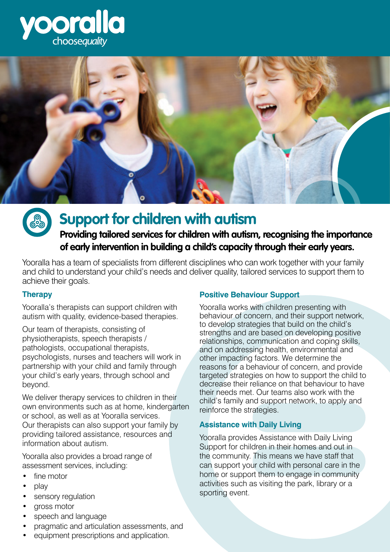





# **Support for children with autism**

## **Providing tailored services for children with autism, recognising the importance of early intervention in building a child's capacity through their early years.**

Yooralla has a team of specialists from different disciplines who can work together with your family and child to understand your child's needs and deliver quality, tailored services to support them to achieve their goals.

#### **Therapy**

Yooralla's therapists can support children with autism with quality, evidence-based therapies.

Our team of therapists, consisting of physiotherapists, speech therapists / pathologists, occupational therapists, psychologists, nurses and teachers will work in partnership with your child and family through your child's early years, through school and beyond.

We deliver therapy services to children in their own environments such as at home, kindergarten or school, as well as at Yooralla services. Our therapists can also support your family by providing tailored assistance, resources and information about autism.

Yooralla also provides a broad range of assessment services, including:

- fine motor
- play
- sensory regulation
- gross motor
- speech and language
- pragmatic and articulation assessments, and
- equipment prescriptions and application.

## **Positive Behaviour Support**

Yooralla works with children presenting with behaviour of concern, and their support network, to develop strategies that build on the child's strengths and are based on developing positive relationships, communication and coping skills, and on addressing health, environmental and other impacting factors. We determine the reasons for a behaviour of concern, and provide targeted strategies on how to support the child to decrease their reliance on that behaviour to have their needs met. Our teams also work with the child's family and support network, to apply and reinforce the strategies.

### **Assistance with Daily Living**

Yooralla provides Assistance with Daily Living Support for children in their homes and out in the community. This means we have staff that can support your child with personal care in the home or support them to engage in community activities such as visiting the park, library or a sporting event.